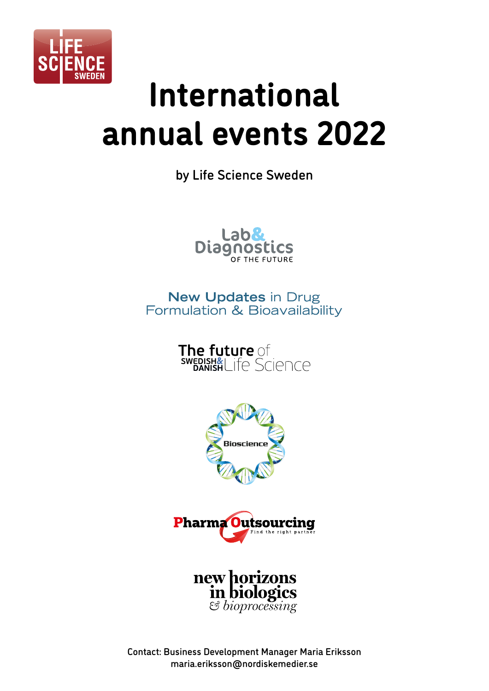

# **International annual events 2022**

by Life Science Sweden



# **New Updates in Drug** Formulation & Bioavailability









Contact: Business Development Manager Maria Eriksson maria.eriksson@nordiskemedier.se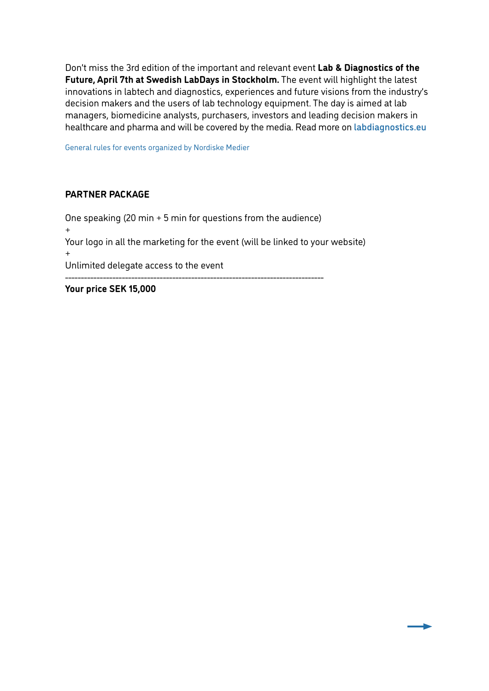Don't miss the 3rd edition of the important and relevant event **Lab & Diagnostics of the Future, April 7th at Swedish LabDays in Stockholm.** The event will highlight the latest innovations in labtech and diagnostics, experiences and future visions from the industry's decision makers and the users of lab technology equipment. The day is aimed at lab managers, biomedicine analysts, purchasers, investors and leading decision makers in healthcare and pharma and will be covered by the media. Read more on labdiagnostics.eu

General rules for events organized by Nordiske Medier

#### **PARTNER PACKAGE**

One speaking (20 min + 5 min for questions from the audience) + Your logo in all the marketing for the event (will be linked to your website) + Unlimited delegate access to the event ----------------------------------------------------------------------------------

**Your price SEK 15,000**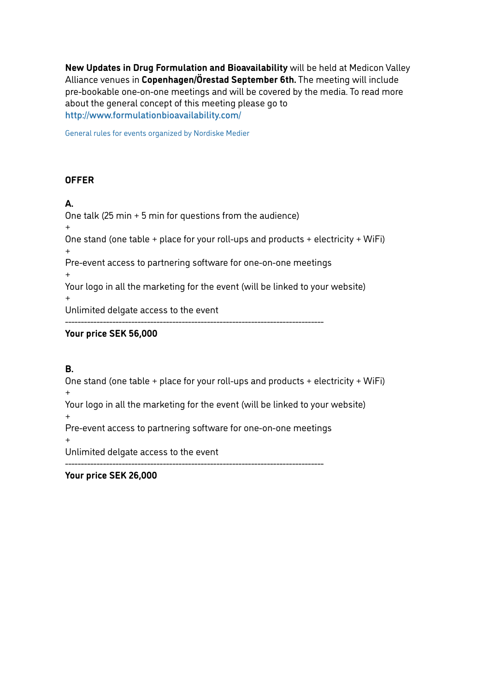**New Updates in Drug Formulation and Bioavailability** will be held at Medicon Valley Alliance venues in **Copenhagen/Örestad September 6th.** The meeting will include pre-bookable one-on-one meetings and will be covered by the media. To read more about the general concept of this meeting please go to http://www.formulationbioavailability.com/

General rules for events organized by Nordiske Medier

#### **OFFER**

#### **A.**

One talk (25 min + 5 min for questions from the audience) + One stand (one table + place for your roll-ups and products + electricity + WiFi) + Pre-event access to partnering software for one-on-one meetings + Your logo in all the marketing for the event (will be linked to your website) + Unlimited delgate access to the event ----------------------------------------------------------------------------------

#### **Your price SEK 56,000**

## **B.**

One stand (one table + place for your roll-ups and products + electricity + WiFi) + Your logo in all the marketing for the event (will be linked to your website) + Pre-event access to partnering software for one-on-one meetings + Unlimited delgate access to the event ----------------------------------------------------------------------------------

**Your price SEK 26,000**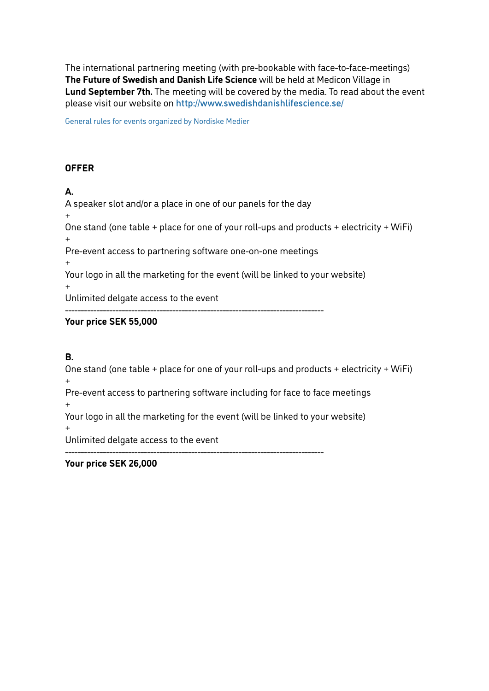The international partnering meeting (with pre-bookable with face-to-face-meetings) **The Future of Swedish and Danish Life Science** will be held at Medicon Village in **Lund September 7th.** The meeting will be covered by the media. To read about the event please visit our website on http://www.swedishdanishlifescience.se/

General rules for events organized by Nordiske Medier

## **OFFER**

## **A.**

A speaker slot and/or a place in one of our panels for the day + One stand (one table + place for one of your roll-ups and products + electricity + WiFi) + Pre-event access to partnering software one-on-one meetings + Your logo in all the marketing for the event (will be linked to your website) + Unlimited delgate access to the event ----------------------------------------------------------------------------------

## **Your price SEK 55,000**

## **B.**

One stand (one table + place for one of your roll-ups and products + electricity + WiFi) +

Pre-event access to partnering software including for face to face meetings +

Your logo in all the marketing for the event (will be linked to your website)

----------------------------------------------------------------------------------

+

Unlimited delgate access to the event

**Your price SEK 26,000**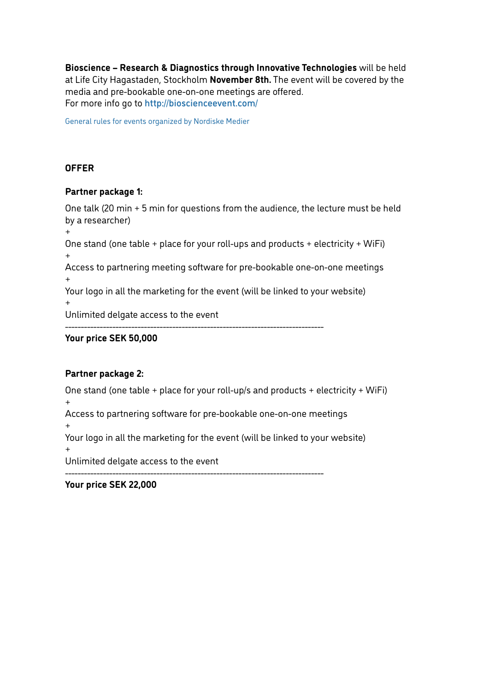**Bioscience – Research & Diagnostics through Innovative Technologies** will be held at Life City Hagastaden, Stockholm **November 8th.** The event will be covered by the media and pre-bookable one-on-one meetings are offered. For more info go to http://bioscienceevent.com/

General rules for events organized by Nordiske Medier

## **OFFER**

#### **Partner package 1:**

One talk (20 min + 5 min for questions from the audience, the lecture must be held by a researcher)  $+$ 

One stand (one table + place for your roll-ups and products + electricity + WiFi) +

Access to partnering meeting software for pre-bookable one-on-one meetings +

Your logo in all the marketing for the event (will be linked to your website)

+

Unlimited delgate access to the event

----------------------------------------------------------------------------------

#### **Your price SEK 50,000**

#### **Partner package 2:**

One stand (one table + place for your roll-up/s and products + electricity + WiFi) +

Access to partnering software for pre-bookable one-on-one meetings

+

Your logo in all the marketing for the event (will be linked to your website)

+

Unlimited delgate access to the event

----------------------------------------------------------------------------------

**Your price SEK 22,000**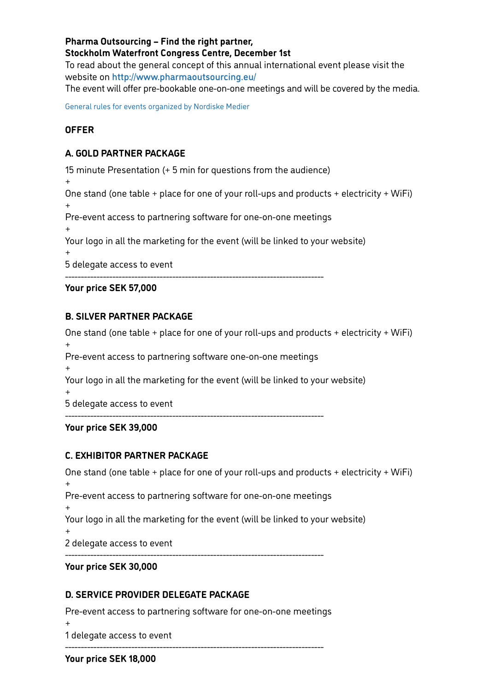#### **Pharma Outsourcing – Find the right partner, Stockholm Waterfront Congress Centre, December 1st**

To read about the general concept of this annual international event please visit the website on http://www.pharmaoutsourcing.eu/

The event will offer pre-bookable one-on-one meetings and will be covered by the media.

General rules for events organized by Nordiske Medier

## **OFFER**

## **A. GOLD PARTNER PACKAGE**

15 minute Presentation (+ 5 min for questions from the audience)

+ One stand (one table + place for one of your roll-ups and products + electricity + WiFi) +

Pre-event access to partnering software for one-on-one meetings

+

Your logo in all the marketing for the event (will be linked to your website)

+

5 delegate access to event

----------------------------------------------------------------------------------

#### **Your price SEK 57,000**

#### **B. SILVER PARTNER PACKAGE**

One stand (one table + place for one of your roll-ups and products + electricity + WiFi) + Pre-event access to partnering software one-on-one meetings + Your logo in all the marketing for the event (will be linked to your website) + 5 delegate access to event ----------------------------------------------------------------------------------

**Your price SEK 39,000**

## **C. EXHIBITOR PARTNER PACKAGE**

```
One stand (one table + place for one of your roll-ups and products + electricity + WiFi)
+
Pre-event access to partnering software for one-on-one meetings
+
Your logo in all the marketing for the event (will be linked to your website)
+
2 delegate access to event
----------------------------------------------------------------------------------
```
#### **Your price SEK 30,000**

## **D. SERVICE PROVIDER DELEGATE PACKAGE**

Pre-event access to partnering software for one-on-one meetings + 1 delegate access to event

----------------------------------------------------------------------------------

**Your price SEK 18,000**